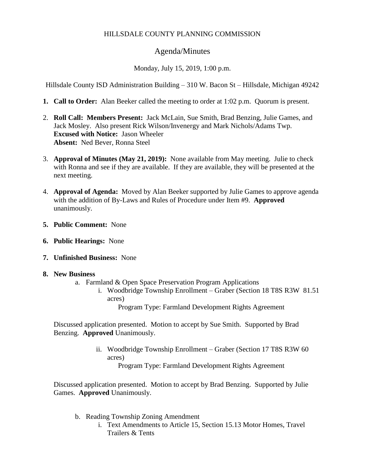# HILLSDALE COUNTY PLANNING COMMISSION

## Agenda/Minutes

Monday, July 15, 2019, 1:00 p.m.

Hillsdale County ISD Administration Building – 310 W. Bacon St – Hillsdale, Michigan 49242

- **1. Call to Order:** Alan Beeker called the meeting to order at 1:02 p.m. Quorum is present.
- 2. **Roll Call: Members Present:** Jack McLain, Sue Smith, Brad Benzing, Julie Games, and Jack Mosley. Also present Rick Wilson/Invenergy and Mark Nichols/Adams Twp. **Excused with Notice:** Jason Wheeler **Absent:** Ned Bever, Ronna Steel
- 3. **Approval of Minutes (May 21, 2019):** None available from May meeting. Julie to check with Ronna and see if they are available. If they are available, they will be presented at the next meeting.
- 4. **Approval of Agenda:** Moved by Alan Beeker supported by Julie Games to approve agenda with the addition of By-Laws and Rules of Procedure under Item #9. **Approved** unanimously.
- **5. Public Comment:** None
- **6. Public Hearings:** None
- **7. Unfinished Business:** None
- **8. New Business**
	- a. Farmland & Open Space Preservation Program Applications
		- i. Woodbridge Township Enrollment Graber (Section 18 T8S R3W 81.51 acres)

Program Type: Farmland Development Rights Agreement

Discussed application presented. Motion to accept by Sue Smith. Supported by Brad Benzing. **Approved** Unanimously.

> ii. Woodbridge Township Enrollment – Graber (Section 17 T8S R3W 60 acres)

Program Type: Farmland Development Rights Agreement

Discussed application presented. Motion to accept by Brad Benzing. Supported by Julie Games. **Approved** Unanimously.

- b. Reading Township Zoning Amendment
	- i. Text Amendments to Article 15, Section 15.13 Motor Homes, Travel Trailers & Tents